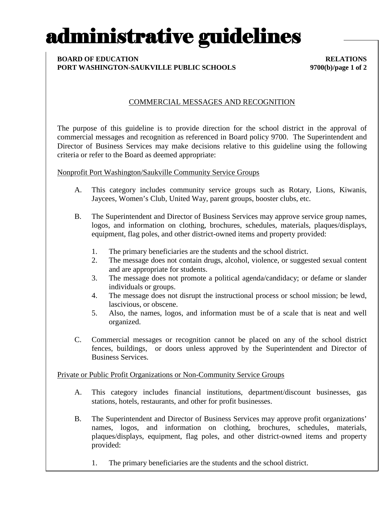# administrative guidelines

### **BOARD OF EDUCATION RELATIONS PORT WASHINGTON-SAUKVILLE PUBLIC SCHOOLS 9700(b)/page 1 of 2**

### COMMERCIAL MESSAGES AND RECOGNITION

The purpose of this guideline is to provide direction for the school district in the approval of commercial messages and recognition as referenced in Board policy 9700. The Superintendent and Director of Business Services may make decisions relative to this guideline using the following criteria or refer to the Board as deemed appropriate:

Nonprofit Port Washington/Saukville Community Service Groups

- A. This category includes community service groups such as Rotary, Lions, Kiwanis, Jaycees, Women's Club, United Way, parent groups, booster clubs, etc.
- B. The Superintendent and Director of Business Services may approve service group names, logos, and information on clothing, brochures, schedules, materials, plaques/displays, equipment, flag poles, and other district-owned items and property provided:
	- 1. The primary beneficiaries are the students and the school district.
	- 2. The message does not contain drugs, alcohol, violence, or suggested sexual content and are appropriate for students.
	- 3. The message does not promote a political agenda/candidacy; or defame or slander individuals or groups.
	- 4. The message does not disrupt the instructional process or school mission; be lewd, lascivious, or obscene.
	- 5. Also, the names, logos, and information must be of a scale that is neat and well organized.
- C. Commercial messages or recognition cannot be placed on any of the school district fences, buildings, or doors unless approved by the Superintendent and Director of Business Services.

Private or Public Profit Organizations or Non-Community Service Groups

- A. This category includes financial institutions, department/discount businesses, gas stations, hotels, restaurants, and other for profit businesses.
- B. The Superintendent and Director of Business Services may approve profit organizations' names, logos, and information on clothing, brochures, schedules, materials, plaques/displays, equipment, flag poles, and other district-owned items and property provided:
	- 1. The primary beneficiaries are the students and the school district.